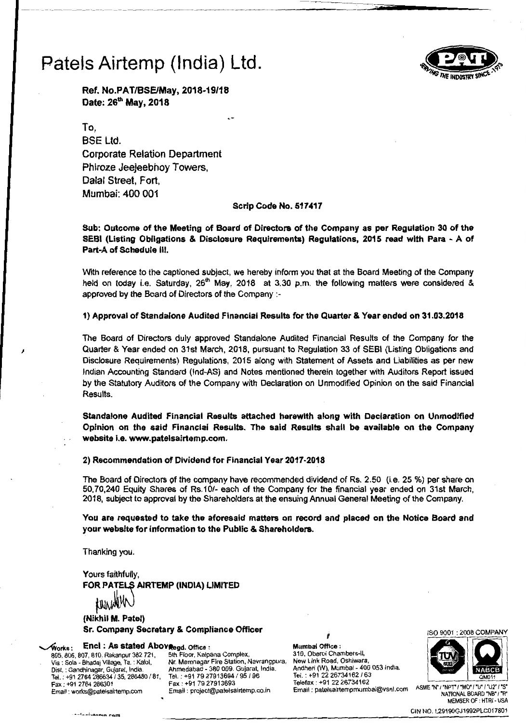

Ref. No.PAT/BSEIMay, *2018·19/18*  Date: 26<sup>th</sup> May, 2018

To, SSE Ltd. Corporate Relation Department Phiroze Jeejeebhoy Towers, Dalal Street, Fort, Mumbai: 400 001

### Scrip Code No, 517417

Sub: Outcome of the Meeting of Board of Directors of the Company as per Regulation 30 of the SEBI (Listing Obligations & Disclosure Requirements) Regulations, 2015 read with Para - A of Part-A of Schedule III,

With reference to the captioned subject, we hereby inform you that at the Board Meeting of the Company held on today i.e. Saturday,  $26<sup>th</sup>$  May, 2018 at 3.30 p.m. the following matters were considered & approved by the Board of Directors of the Company :

1) Approval of Standalone Audited Financial Results for the Quarter & Year ended on 31.03.2018

The Board of Directors duly approved Standalone Audited Financial Results of the Company for the Quarter & Year ended on 31st March, 2018, pursuant to Regulation 33 of SEBI (Listing Obligations and Disclosure Requirements) Regulations, 2015 along with Statement of Assets and Liabilities as per new Indian Accounting Standard (Ind-AS) and Notes mentioned therein together with Auditors Report issued by the Statutory Auditors of the Company with Declaration on Unmodified Opinion on the said Financial Results.

Standalone Audited Financial Results attached herewith along with Declaration on Unmodified Opinion on the said Financial Results. The said Results shall be available on the Company website i,e. www.patelsairtemp.com.

2) Recommendation of Dividend for Financial Year 2017-2018

The Board of Directors of the company have recommended dividend of Rs. 2.50 (i.e. 25 %) per share on 50,70,240 Equity Shares of Rs.10/- each of the Company for the financial year ended on 31st March, 2018, subject to approval by the Shareholders at the ensuing Annual General Meeting of the Company.

You are requested to take the aforesaid matters on record and placed on the Notice Board and your website for information to the Public & Shareholders.

Thanking you.

Yours faithfully. FOR PATELS AIRTEMP (INDIA) LIMITED

(Nikhil M. Patel) Sr, Company Secretary & Compliance Officer

",,",orks : Encl: As stated AboV"egd. Office: Mumbai Office :

605, 806, 807, 810, Rakanpur 382 721, 5th Floor, Kalpana Complex, 310, Oberoi Chambers-II, 310, Oberoi Chambers-II, Via : Sola - Bhadai Village, Ta. : Kalol. Nr. Memnagar Fire Station, Navrangpura, New Link Road, Oshiwara Via : Sola - Bhadaj Village, Ta. : Kalol, Nr. Memnagar Fire Station, Navrangpura, New Link Road, Oshiwara,<br>Dist. : Gandhinagar, Gujarat, India. Ahmedabad - 380 009. Gujarat, India. Andheri (W), Dist. : Gandhinagar, Gujarat, India. <br>1914. : +91 2764 286634 / 35, 286480 / 81. India. +91 79 27913694 / 95 / 96 [15]. . +91 22 26734162 / 63 Tel. : +91 2764 *266634/35.* 266480 *161.* Tel.: +91 7927913694 *195/96* Tel. : +91 *2226734162/63* 

, ISO 9001 : 2006 COMPANY



Fax: +91 2764 266301 Fax: +91 79 27913693 Telefax: +91 2226734162 ASME 'N"'NPr "Me" /'U'/'U2"'S' Email: works@patelsairtemp.com Email: project@patelsairtemp.co.in Email: patelsairtempmumbai@vsnl.com NATIONAL BOARD 'NB'I'R' MEMBER OF : HTRI- USA

CIN NO. L29190GJ1992PLC017801 *-... \_·-... :....15"""* rnm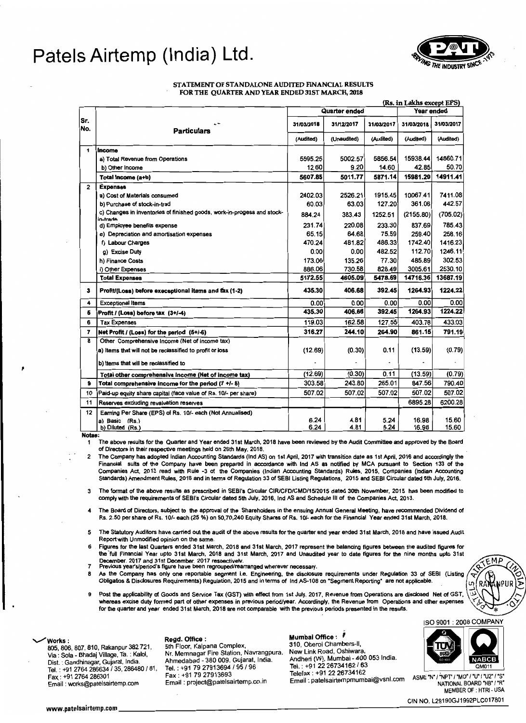

### STATEMENT OF STANDALONE AUDITED FINANCIAL RESULTS FOR THE QUARTER AND YEAR ENDED 31ST MARCH, 2018

|             |                                                                                     |               |              |              | (Rs. in Lakhs except EPS) |                |
|-------------|-------------------------------------------------------------------------------------|---------------|--------------|--------------|---------------------------|----------------|
|             |                                                                                     | Quarter ended |              |              | Year ended                |                |
| Sr.<br>INo. | <b>Particulars</b>                                                                  | 31/03/2018    | 31/12/2017   | 31/03/2017   | 31/03/2018                | 31/03/2017     |
|             |                                                                                     | (Audited)     | (Unaudited)  | (Audited)    | (Audited)                 | (Audited)      |
| 1           | Income                                                                              |               |              |              |                           |                |
|             | a) Total Revenue from Operations                                                    | 5595.25       | 5002.57      | 5856.54      | 15938.44                  | 14860.71       |
|             | b) Other Income                                                                     | 12.60         | 9.20         | 14.60        | 42.85                     | 50.70          |
|             | Total Income (a+b)                                                                  | 5607.85       | 5011.77      | 5871.14      | 15981.29                  | 14911.41       |
| 2           | <b>Expenses</b>                                                                     |               |              |              |                           |                |
|             | a) Cost of Materials consumed                                                       | 2402.03       | 2526.21      | 1915.45      | 10067.41                  | 7411.08        |
|             | b) Purchase of stock-in-trad                                                        | 60.03         | 63.03        | 127.20       | 361.06                    | 442.57         |
|             | c) Changes in inventories of finished goods, work-in-progess and stock-<br>in-trade | 884.24        | 383.43       | 1252.51      | (2155.80)                 | (705.02)       |
|             | d) Employee benefits expense                                                        | 231.74        | 220.08       | 233.30       | 837.69                    | 785.43         |
|             | e) Depreciation and amortisation expenses                                           | 65.15         | 64.68        | 75.59        | 259.40                    | 258.16         |
|             | f) Labour Charges                                                                   | 470.24        | 481.82       | 486.33       | 1742.40                   | 1416.23        |
|             | g) Excise Duty                                                                      | 0.00          | 0.00         | 482.52       | 112.70                    | 1246.11        |
|             | h) Finance Costs                                                                    | 173.06        | 135.26       | 77.30        | 485.89                    | 302.53         |
|             | i) Other Expenses                                                                   | 886.06        | 730.58       | 828.49       | 3005.61                   | 2530.10        |
|             | <b>Total Expenses</b>                                                               | 5172.55       | 4605.09      | 5478.69      | 14716.36                  | 13687.19       |
| 3           | Profit/(Loss) before execeptional items and tax (1-2)                               | 435.30        | 406.68       | 392.45       | 1264.93                   | 1224.22        |
| 4           | <b>Exceptional Items</b>                                                            | 0.00          | 0.00         | 0.00         | 0.00                      | 0.00           |
| Б           | Profit / (Loss) before tax (3+/-4)                                                  | 435.30        | 406.68       | 392.45       | 1264.93                   | 1224.22        |
| 6           | <b>Tax Expenses</b>                                                                 | 119.03        | 162.58       | 127.55       | 403.78                    | 433.03         |
| 7           | Net Profit / (Loss) for the period (5+/-6)                                          | 316.27        | 244.10       | 264.90       | 861.15                    | 791.19         |
| 8           | Other Comprehensive Income (Net of income tax)                                      |               |              |              |                           |                |
|             | a) Items that will not be reclassified to profit or loss                            | (12.69)       | (0.30)       | 0.11         | (13.59)                   | (0.79)         |
|             | b) Items that will be reclassified to                                               |               |              |              |                           |                |
|             | Total other comprehensive income (Net of income tax)                                | (12.69)       | (0.30)       | 0.11         | (13.59)                   | (0.79)         |
| 9           | Total comprehensive income for the period (7 +/- 8)                                 | 303.58        | 243.80       | 265.01       | 847.56                    | 790.40         |
| 10          | Paid-up equity share capital (face value of Rs. 10/- per share)                     | 507.02        | 507.02       | 507.02       | 507.02                    | 507.02         |
| 11          | Reserves excluding revaluation reserves                                             |               |              |              | 6895.28                   | 6200.28        |
| 12          | Earning Per Share (EPS) of Rs. 10/- each (Not Annualised)                           |               |              |              |                           |                |
|             | a) Basic (Rs.)<br>b) Diluted (Rs.)                                                  | 6.24<br>6.24  | 4.81<br>4.81 | 5.24<br>5.24 | 16.98<br>16.98            | 15.60<br>15.60 |

Notes:

I

1 The above results for the Quarter and Year ended 31st March, 2018 have been reviewed by the Audit Committee and approved by the Board of Directors in their respective meetings held on 26th May. 2018.

2 The Company has adopted Indian Accounting Standards (Ind AS) on 1st April, 2017 with transition date as 1st April, 2016 and accordingly the Financial sults of the Company have been prepared in accordance with Ind AS as notified by MCA pursuant to Section 133 of the<br>Companies Act, 2013 read with Rule -3 of the Companies (Indian Accounting Standards) Rules, 2015 Standards) Amendment Rules, 2016 and in terms of Regulation 33 of SEBI Listing Regulations, 2015 and SEBI Circular dated 5th July, 2016.

- 3 The format of the above results as prescribed in SEBI's Circular CIR/CFD/CMD/15/2015 dated 30th November. 2015 has been modified to comply with the requirements of SEBl's Circular dated 5th July, 2016, Ind AS and Schedule III of the Companies Act, 2013.
- The Board of Directors, subject to the approval of the Shareholders in the ensuing Annual General Meeting, have recommended Dividend of Rs. 2.50 per share of Rs. 10/- each (25 %) on 50,70,240 Equity Shares of Rs. 10/- each for the Financial Year ended 31st March, 2018.
- 5 The statutory Auditors have carried out the audit of the above results for the quarter and year ended 31st March, 2018 and have issued Audit Report with Unmodified Opinion on the same.
- Figures for the last Quarters ended 31st March, 2018 and 31st March, 2017 represent the balancing figures between the audited figures for the 'full Financial Year upto 31st March, 2018 and 31st March, 2017 and Unaudited year to date figures for the nine months upto 31st December. 2017 and 31 st December. 2017 resoectivelv. 7 Previous years/period's figure have been regrouped/rearranged wherever nacessary.
- 
- As the Company has only one reportable segment i.e. Engineering, the disclosure requirements under Regulation 33 of SEBI (Listing  $\left(\frac{1}{2},\frac{1}{2}\right)$  ( $\left(\frac{1}{2},\frac{1}{2}\right)$ ) (RAM) Obligatios & Disclosures Requirements) Regulation, 2015 and in terms of Ind AS-108 on "Segment Reporting" are not applicable
- 9 Post the applicability of Goods and Service Tax (GST) with effect from 1st July, 2017, Revenue from Operations are disclosed Net of GST, whereas excise duty formed part of other expenses in previous period/year. Accordin for the quarter and year ended 31st March, 2018 are not comparable with the previous periods presented in the results.

Andheri (W), Mumbai - 400 053 India. Via : Sola - Bhadaj Village, Ta. : Kalol, Telefax: +91 2226734162 Tel. : +91 2764266634 f 35, 266460 f 81. Tel. : +91 *7927913694/95/96* Email: works@patelsairtemp.com

Nr. Memnagar Fire Station, Navrangpura, 1. Ahmedabad - 380 009. Gujarat, India. **2008.** Andheri (W), Mumbai - 400<br>Tel. : +91 79 27913694 / 95 / 96 **Tel. : +91 22 26734162 / 63**<br>Eax : +91 79 27913693 **Telefax : +91 22 26734162** Email: project@patelsairtemp.co.in

Regd. Office: Mumbai Office: i .............Works: 910 - Works : IMumbai Office : ۴<br>310, Oberoi Chambers-II, Sth Floor, Kalpana Complex, 310, Oberoi Chambers-II,<br>10/ Via : Sola - Bhadaj Village, Ta. : Kalol, N. Mc Memnagar Fire Station, Navrangpura, New Link Road, Oshiwa



ISO 9001 : 2006 COMPANY



Fax. : "491 / "U2" / "NPT" / "MO" / "U2" / "S"<br>"AATIONAL BOARD "NB" / "R MEMBER OF : HTRI- USA

CIN NO. L2919QGJ1992PLC017601 www.patelsairtemp.com \_\_\_\_\_\_\_\_\_\_\_\_\_\_\_\_\_\_\_\_\_\_\_\_\_\_\_\_\_\_\_\_\_----.:-----------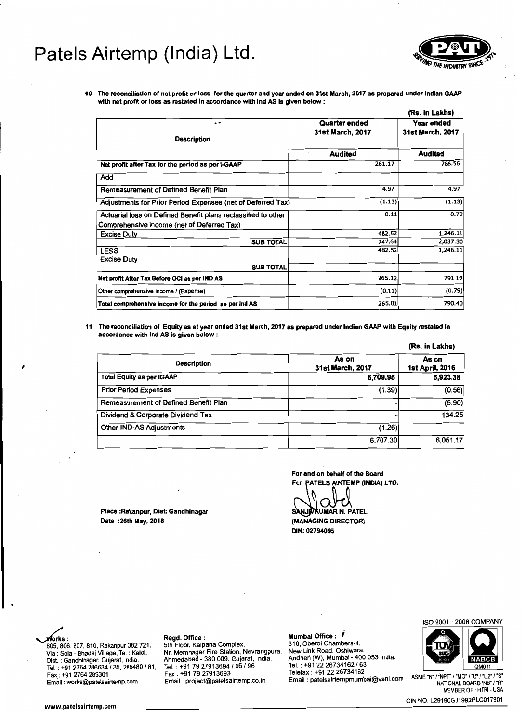

10 The reconciliation of net profit or loss for the quarter and year ended on 31st March. 2017 as prepared under Indian GAAP with net profit or loss as restated in accordance with Ind AS is given below:

|                                                                                                             |                                          | (Rs. in Lakhs)                        |  |
|-------------------------------------------------------------------------------------------------------------|------------------------------------------|---------------------------------------|--|
| ı٣<br><b>Description</b>                                                                                    | Quarter ended<br><b>31st March, 2017</b> | Year ended<br><b>31st March, 2017</b> |  |
|                                                                                                             | Audited                                  | <b>Audited</b>                        |  |
| Net profit after Tax for the period as per I-GAAP                                                           | 261.17                                   | 786.56                                |  |
| Add                                                                                                         |                                          |                                       |  |
| Remeasurement of Defined Benefit Plan                                                                       | 4.97                                     | 4.97                                  |  |
| Adjustments for Prior Period Expenses (net of Deferred Tax)                                                 | (1.13)                                   | (1.13)                                |  |
| Actuarial loss on Defined Benefit plans reclassified to other<br>Comprehensive income (net of Deferred Tax) | 0.11                                     | 0.79                                  |  |
| <b>Excise Duty</b>                                                                                          | 482.52                                   | 1,246.11                              |  |
| <b>SUB TOTAL</b>                                                                                            | 747.64                                   | 2,037.30                              |  |
| <b>LESS</b><br>Excise Duty                                                                                  | 482.52                                   | 1,246.11                              |  |
| <b>SUB TOTAL</b>                                                                                            |                                          |                                       |  |
| Net profit After Tax Before OCI as per IND AS                                                               | 265.12                                   | 791.19                                |  |
| Other comprehensive income / (Expense)                                                                      | (0.11)                                   | (0.79)                                |  |
| Total comprehensive income for the period as per ind AS                                                     | 265.01                                   | 790.40                                |  |

11 The reconciliation of Equity as at year ended 31st March. 2017 as prepared under Indian GAAP with Equity restated in accordance with Ind AS is given below:

|                                       |                           | (Rs. in Lakhs)                  |
|---------------------------------------|---------------------------|---------------------------------|
| <b>Description</b>                    | As on<br>31st March, 2017 | As on<br><b>1st April, 2016</b> |
| <b>Total Equity as per IGAAP</b>      | 6,709.95                  | 5,923.38                        |
| <b>Prior Period Expenses</b>          | (1.39)                    | (0.56)                          |
| Remeasurement of Defined Benefit Plan |                           | (5.90)                          |
| Dividend & Corporate Dividend Tax     |                           | 134.25                          |
| Other IND-AS Adjustments              | (1.26)                    |                                 |
|                                       | 6,707.30                  | 6,051.17                        |

For and on behalf of the Board For PATELS AIRTEMP (INDIA) LTD.

Place :Rakanpur, Dist: Gandhinagar ~UMARN. PATEL Date :26th May, 2018 (MANAGING DIRECTOR)

DIN: 02794095



310, Oberoi Chambers-II, 805, 807, 810. Rakanpur 382 721, 815. Floor, Kalpana Complex, New Link Road, Oshiwara,<br>Via : Sola - Bhadaj Village, Ta. : Kalol, Nr. Memnagar Fire Station, Navrangpura. New Link Road, Oshiwara, rax : +91 2764 286301 Fax : +91 79 27913093 Faxia and telefax . +91 22 2013+102<br>Famail : works@patelsairtemp.com Email : project@patelsairtemp.co.in Email : patelsairtempmumbai@vsnl.com ASME 'N' /"NATIONAL BOARD 'NB' /"R

Andheri (W), Mumbai - 400 053 India. Dist. : Gandhinagar, Gujarat, India. Ahmedabad - 380 009. Gujarat. India. via Court Burge, 1912, 1912, 1912, 1912, 1912, 1912, 1912, 1912, 1913, 1914, 1914, 1914, 1914, 1914, 1914, 191<br>
Tel.: +91 2764 286634 / 35, 286480 / 81, Tel.: +91 79 27913694 / 95 / 96 Tel.: +91 27 26734162 / 63<br>
Fax: +91 Email: project@patelsairtemp.co.in

# ~: Regd. Office: Mumbai Office: ,

ISO 9001: 2008 COMPANY



MEMBER OF : HTRI - USA

CIN NO. L29190GJ1992PLC017801 www.patelsairtemp.com \_\_\_\_\_\_\_\_\_\_\_\_\_\_\_\_\_\_\_\_\_\_\_\_\_\_\_\_\_\_\_\_\_\_--------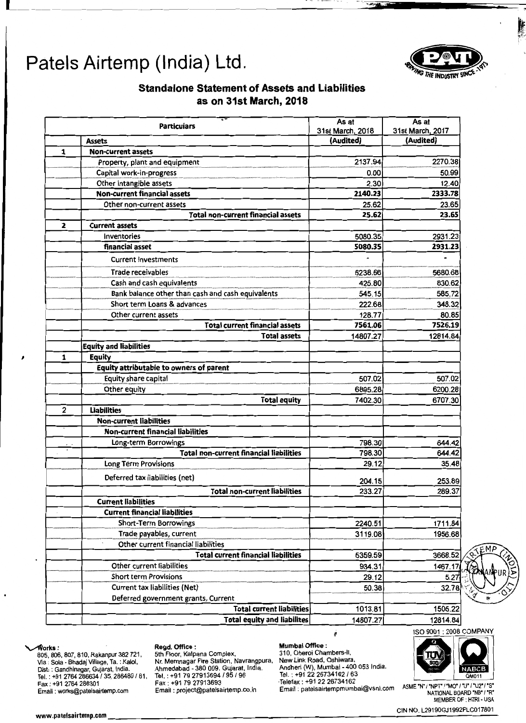

**On** 

## **Standalone Statement of Assets and Liabilities as on 31st March, 2018**

|                                       | <b>Particulars</b>                                | As at<br>31st March, 2018 | As at<br>31st March, 2017 |
|---------------------------------------|---------------------------------------------------|---------------------------|---------------------------|
| <b>Assets</b>                         |                                                   | (Audited)                 | (Audited)                 |
| <b>Non-current assets</b><br>1        |                                                   |                           |                           |
|                                       | Property, plant and equipment                     | 2137.94                   | 2270.38                   |
| Capital work-in-progress              |                                                   | 0.00                      | 50.99                     |
| Other intangible assets               |                                                   | 2.30                      | 12.40                     |
|                                       | <b>Non-current financial assets</b>               | 2140.23                   | 2333.78                   |
|                                       | Other non-current assets                          | 25.62                     | 23.65                     |
|                                       | <b>Total non-current financial assets</b>         | 25.62                     | 23.65                     |
| $\mathbf{2}$<br><b>Current assets</b> |                                                   |                           |                           |
| Inventories                           |                                                   | 5080.35                   | 2931.23                   |
| financial asset                       |                                                   | 5080.35                   | 2931.23                   |
|                                       | <b>Current investments</b>                        |                           |                           |
| <b>Trade receivables</b>              |                                                   | 6238.66                   | 5680.68                   |
|                                       | Cash and cash equivalents                         | 425.80                    | 830.62                    |
|                                       | Bank balance other than cash and cash equivalents | 545.15                    | 585.72                    |
|                                       | Short term Loans & advances                       | 222.68                    | 348.32                    |
|                                       | Other current assets                              | 128.77                    | 80.85                     |
|                                       | <b>Total current financial assets</b>             | 7561.06                   | 7526.19                   |
|                                       | <b>Total assets</b>                               | 14807.27                  | 12814.84                  |
| <b>Equity and liabilities</b>         |                                                   |                           |                           |
| <b>Equity</b><br>1                    |                                                   |                           |                           |
|                                       | Equity attributable to owners of parent           |                           |                           |
| Equity share capital                  |                                                   | 507.02                    | 507.02                    |
| Other equity                          |                                                   | 6895.28                   | 6200.28                   |
|                                       | <b>Total equity</b>                               | 7402.30                   | 6707.30                   |
| 2<br><b>Liabilities</b>               |                                                   |                           |                           |
| <b>Non-current liabilities</b>        |                                                   |                           |                           |
|                                       | <b>Non-current financial liabilities</b>          |                           |                           |
|                                       | Long-term Borrowings                              | 798.30                    | 644.42                    |
|                                       | <b>Total non-current financial liabilities</b>    | 798.30                    | 644.42                    |
| Long Térm Provisions                  |                                                   | 29.12                     | 35.48                     |
|                                       | Deferred tax liabilities (net)                    | 204.15                    | 253.89                    |
|                                       | <b>Total non-current liabilities</b>              | 233.27                    | 289.37                    |
| <b>Current liabilities</b>            |                                                   |                           |                           |
|                                       | <b>Current financial liabilities</b>              |                           |                           |
|                                       | Short-Term Borrowings                             | 2240.51                   | 1711.84                   |
|                                       | Trade payables, current                           | 3119.08                   | 1956.68                   |
|                                       | Other current financial liabilities               |                           |                           |
|                                       | <b>Total current financial liabilities</b>        | 5359.59                   | 3668.52                   |
|                                       | Other current liabilities                         | 934.31                    | 1467.17                   |
|                                       | <b>Short term Provisions</b>                      | 29.12                     | 5.27                      |
|                                       | <b>Current tax liabilities (Net)</b>              | 50.38                     | 32.78                     |
|                                       | Deferred government grants, Current               |                           |                           |
|                                       | <b>Total current liabilities</b>                  | 1013.81                   | 1505.22                   |
|                                       | <b>Total equity and liabilites</b>                | 14807.27                  | 12814.84                  |

 $\frac{6.68}{6.52}$ <br>  $\frac{8.52}{7.17}$ <br>  $\frac{6.7}{7.17}$ <br>  $\frac{6.27}{7.17}$  $\mathbb{N}$  N  $\mathbb{Z}/$ 

~orks: Regd. OffIce: Mumbai Office : 805,806,807.810, Rakanpur 382721, 5th Floor, Kalpana Complex, 310, Oberoi Chambers-II, Via : Sola - Bhadaj Village, Ta.. Kalol, Nr. Memnagar Fire Station, Navrangpura. New Link Road, Oshiwara. Tel. : +91 2764 286634 f 35,286480 f *81,* Tel. : +91 79 27913694 f 95 f *96* Tel. : +91 2226734162 f *63* 

Dist, : Gandhinagar, Gujarat, India. Ahmedabad - 380 009. Gujarat, India. Andheri (W), Mumbai - 400 053 India, – Telefax : +91 22 26734162 - "Fax : +91 79 27913693 - "Telefax : +91 22 26734162" - "Fax : +91 2764 286301 -<br>"Email : works@patelsairtemp.com Email : project@patelsairtemp.co.in Email : patelsairtempmumbai@vsnl.com ASME

I



 $OMO11$ 

ASME TN' / "NPT" / "MO" / "U" / "U2" / "S"<br>NATIONAL BOARD "NB" / "R"<br>MEMBER OF : HTRI - USA

www.paesalremp.com . <sup>t</sup>\_\_\_\_\_\_\_\_\_\_\_\_\_\_\_\_\_\_\_\_\_\_\_\_\_\_\_\_\_\_\_\_\_\_\_\_\_\_\_\_ CIN NO. L29190GJ1992PLC017801\_ t I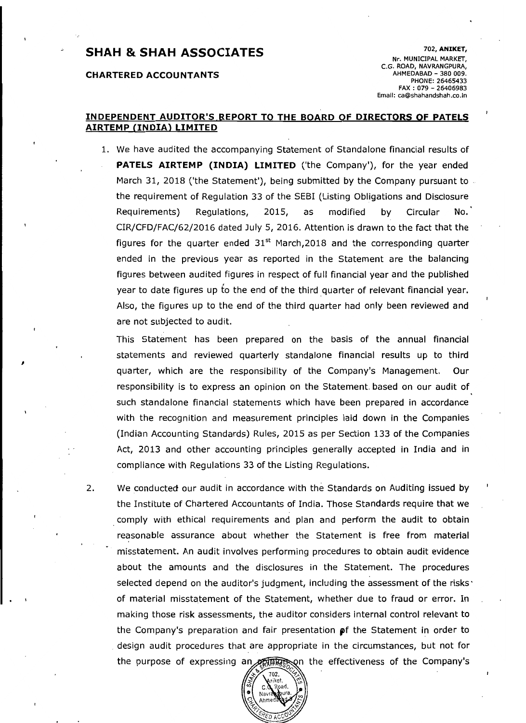# 102, **ANIKET, SHAH & SHAH ASSOCIATES**

### **CHARTERED ACCOUNTANTS**

I

Nr. MUNICIPAL MARKET, C.G. ROAD, NAVRANGPURA,<br>AHMEDABAD - 380 009. PHONE: 26465433 FAX: 079 - 26406983 Email: ca@shahandshah.co.ln

### **INDEPENDENT AUDITOR'S REPORT TO THE BOARD OF DIRECTORS OF PATELS AIRTEMP (INDIA) LIMITED**

1. We have audited the accompanying Statement of Standalone financial results of **PATELS AIRTEMP (INDIA) LIMITED** ('the Company'), for the year ended March 31, 2018 ('the Statement'), being submitted by the Company pursuant to  $\overline{a}$ the requirement of Regulation 33 of the SEBI (Listing Obligations and Disclosure Requirements) Regulations, 2015, as modified by Circular No. CIR/CFD/FAC/62/2016 dated July 5, 2016. Attention is drawn to the fact that the figures for the quarter ended  $31<sup>st</sup>$  March, 2018 and the corresponding quarter ended in the previous year as reported in the Statement are the balancing figures between audited figures in respect of full financial year and the published year to date figures up to the end of the third quarter of relevant financial year. Also, the figures up to the end of the third quarter had only been reviewed and are not subjected to audit.

This Statement has been prepared on the basis of the annual financial statements and reviewed quarterly standalone financial results up to third quarter, which are the responsibility of the Company's Management. Our responsibility is to express an opinion on the Statement based on our audit of such standalone financial statements which have been prepared in accordance with the recognition and measurement principles laid down in the Companies (Indian Accounting Standards) Rules, 2015 as per Section 133 of the Companies Act, 2013 and other accounting principles generally accepted in India and in compliance with Regulations 33 of the Listing Regulations.

2. We conducted our audit in accordance with the Standards on Auditing issued by the Institute of Chartered Accountants of India. Those Standards require that we comply with ethical requirements and plan and perform the audit to obtain reasonable assurance about whether the Statement is free from material misstatement. An audit involves performing procedures to obtain audit evidence about the amounts and the disclosures in the Statement. The procedures selected depend on the auditor's judgment, including the assessment of the risks' of material misstatement of the Statement, whether due to fraud or error. **In**  making those risk assessments, the auditor cohsiders internal control relevant to the Company's preparation and fair presentation  $\mathfrak{p}$ f the Statement in order to . design audit procedures that are appropriate in the circumstances, but not for the purpose of expressing an entity and the effectiveness of the Company's

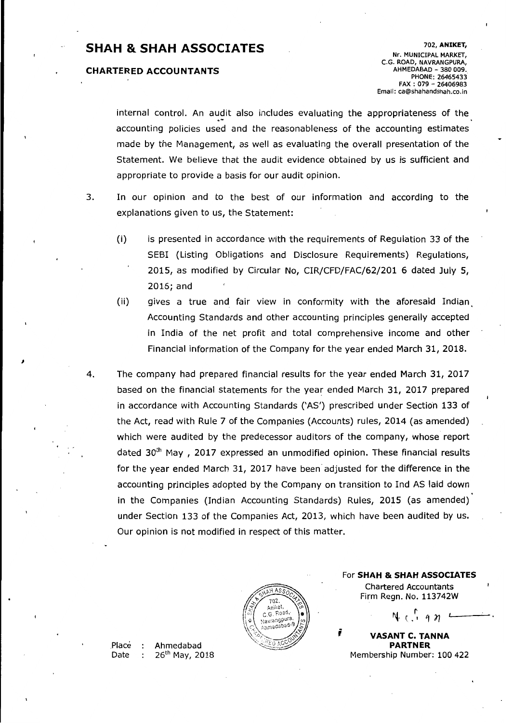# 702, **ANIKET, SHAH & SHAH ASSOCIATES** Nr. MUNICIPAL MARKET,

### **CHARTERED ACCOUNTANTS**

C.G. ROAD, NAVRANGPURA,<br>AHMEDABAD - 380 009. PHONE: 26465433 FAX: 079 - 26406983 Email: ca@shahandshah.co.in

internal control. An audit also includes evaluating the appropriateness of the accounting policies used and the reasonableness of the accounting estimates made by the Management, as well as evaluating the overall presentation of the Statement. We believe that the audit evidence obtained by us is sufficient and appropriate to provide a basis for our audit opinion.

- 3. In our opinion and to the best of our information and according to the explanations given to us, the Statement:
	- (i) is presented in accordance with the requirements of Regulation 33 of the SEBI (Listing Obligations and Disclosure Requirements) Regulations, 2015, as modified by Circular No, CIR/CFD/FAC/62/201 6 dated July 5, 2016; and
	- (ii) gives a true and fair view in conformity with the aforesaid Indian Accounting Standards and other accounting principles generally accepted in India of the net profit and total comprehensive income and other Financial information of the Company for the year ended March 31, 2018.
- 4. The company had prepared financial results for the year ended March 31, 2017 based on the financial statements for the year ended March 31, 2017 prepared in accordance with Accounting Standards ('AS') prescribed under Section 133 of the Act, read with Rule 7 of the Companies (Accounts) rules, 2014 (as amended) which were audited by the predecessor auditors of the company, whose report dated  $30<sup>th</sup>$  May, 2017 expressed an unmodified opinion. These financial results for the year ended March 31, 2017 have been' adjusted for the difference in the accounting prjnciples adopted by the Company on transition to Ind AS laid down in the Companies (Indian Accounting Standards) Rules, 2015 (as amended) under Section 133 of the Companies Act, 2013, which have been audited by us. Our opinion is not modified in respect of this matter.



**For SHAH & SHAH ASSOCIATES** Chartered Accountants Firm Regn. No. 113742W

 $N \cdot \begin{pmatrix} 1 & 1 & 1 \end{pmatrix}$ 

**VASANT C. TANNA** exactive Place : Ahmedabad **PARTNER PERTNER PARTNER**<br>Date : 26<sup>th</sup> May, 2018 Date : 26<sup>th</sup> May, 2018 Membership Number: 100 422